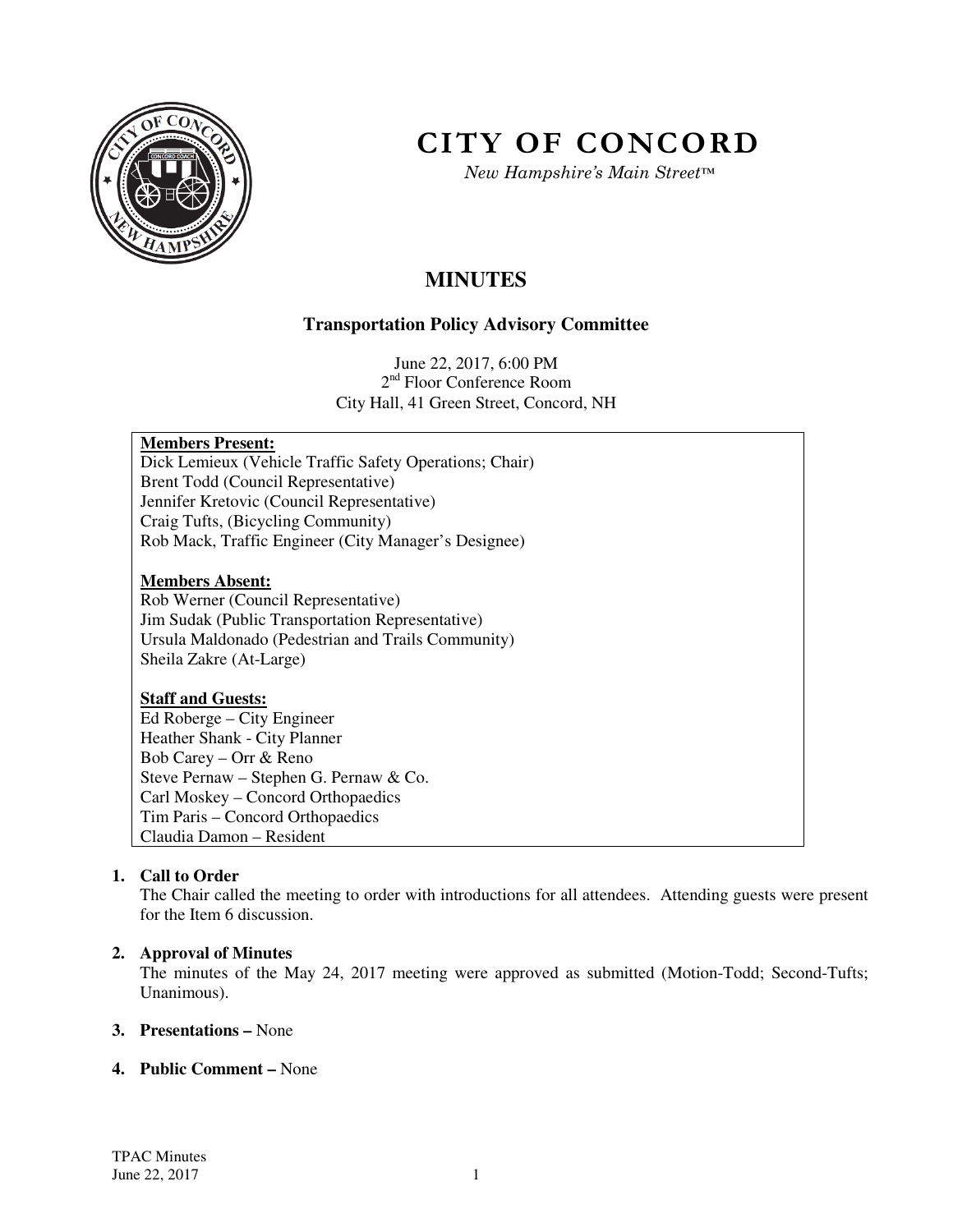

# **CITY OF CONCORD**

*New Hampshire's Main Street™*

## **MINUTES**

### **Transportation Policy Advisory Committee**

June 22, 2017, 6:00 PM 2<sup>nd</sup> Floor Conference Room City Hall, 41 Green Street, Concord, NH

#### **Members Present:**

Dick Lemieux (Vehicle Traffic Safety Operations; Chair) Brent Todd (Council Representative) Jennifer Kretovic (Council Representative) Craig Tufts, (Bicycling Community) Rob Mack, Traffic Engineer (City Manager's Designee)

#### **Members Absent:**

Rob Werner (Council Representative) Jim Sudak (Public Transportation Representative) Ursula Maldonado (Pedestrian and Trails Community) Sheila Zakre (At-Large)

#### **Staff and Guests:**

Ed Roberge – City Engineer Heather Shank - City Planner Bob Carey – Orr & Reno Steve Pernaw – Stephen G. Pernaw & Co. Carl Moskey – Concord Orthopaedics Tim Paris – Concord Orthopaedics Claudia Damon – Resident

#### **1. Call to Order**

The Chair called the meeting to order with introductions for all attendees. Attending guests were present for the Item 6 discussion.

#### **2. Approval of Minutes**

The minutes of the May 24, 2017 meeting were approved as submitted (Motion-Todd; Second-Tufts; Unanimous).

#### **3. Presentations –** None

#### **4. Public Comment –** None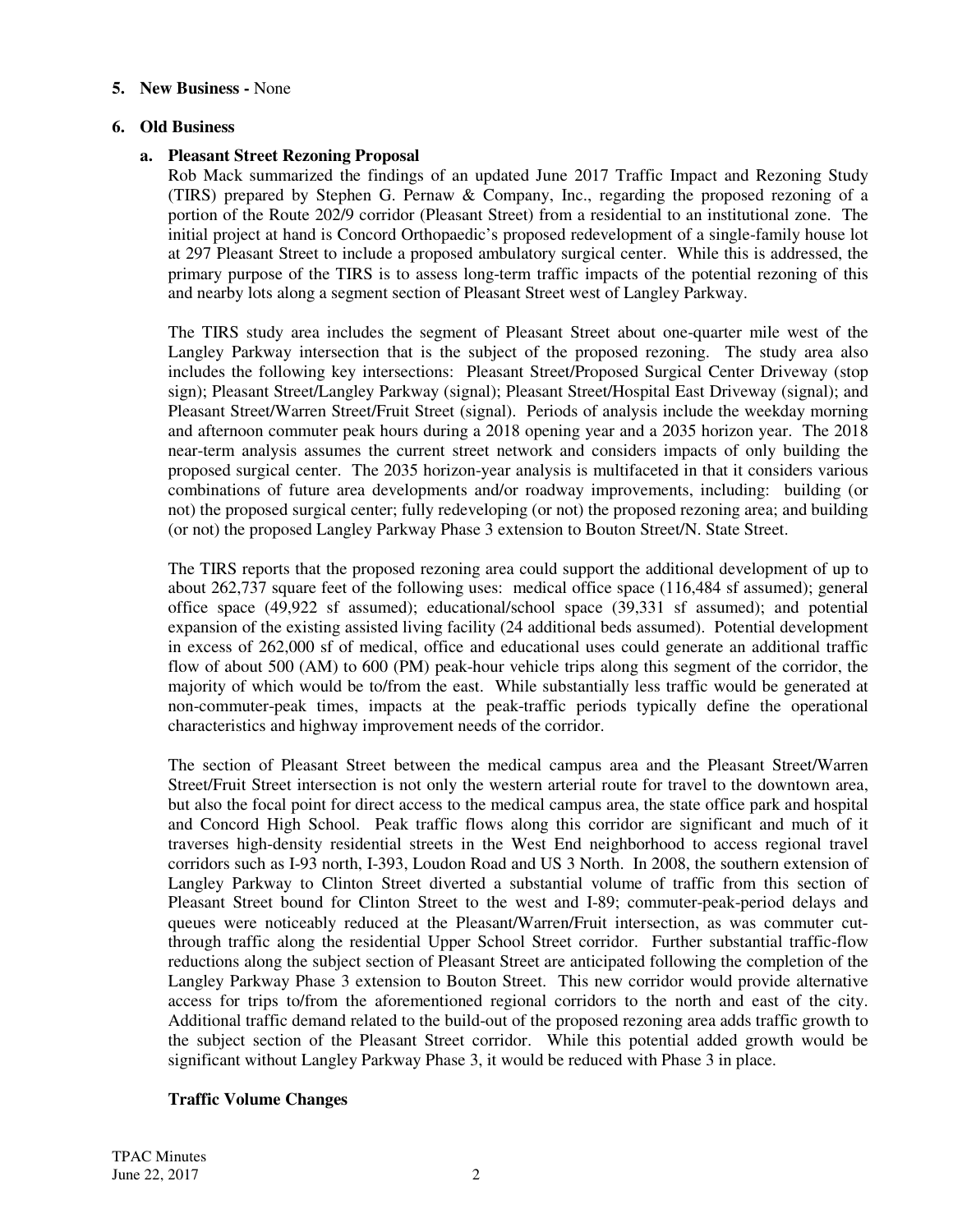#### **5. New Business -** None

#### **6. Old Business**

#### **a. Pleasant Street Rezoning Proposal**

Rob Mack summarized the findings of an updated June 2017 Traffic Impact and Rezoning Study (TIRS) prepared by Stephen G. Pernaw & Company, Inc., regarding the proposed rezoning of a portion of the Route 202/9 corridor (Pleasant Street) from a residential to an institutional zone. The initial project at hand is Concord Orthopaedic's proposed redevelopment of a single-family house lot at 297 Pleasant Street to include a proposed ambulatory surgical center. While this is addressed, the primary purpose of the TIRS is to assess long-term traffic impacts of the potential rezoning of this and nearby lots along a segment section of Pleasant Street west of Langley Parkway.

The TIRS study area includes the segment of Pleasant Street about one-quarter mile west of the Langley Parkway intersection that is the subject of the proposed rezoning. The study area also includes the following key intersections: Pleasant Street/Proposed Surgical Center Driveway (stop sign); Pleasant Street/Langley Parkway (signal); Pleasant Street/Hospital East Driveway (signal); and Pleasant Street/Warren Street/Fruit Street (signal). Periods of analysis include the weekday morning and afternoon commuter peak hours during a 2018 opening year and a 2035 horizon year. The 2018 near-term analysis assumes the current street network and considers impacts of only building the proposed surgical center. The 2035 horizon-year analysis is multifaceted in that it considers various combinations of future area developments and/or roadway improvements, including: building (or not) the proposed surgical center; fully redeveloping (or not) the proposed rezoning area; and building (or not) the proposed Langley Parkway Phase 3 extension to Bouton Street/N. State Street.

The TIRS reports that the proposed rezoning area could support the additional development of up to about 262,737 square feet of the following uses: medical office space (116,484 sf assumed); general office space (49,922 sf assumed); educational/school space (39,331 sf assumed); and potential expansion of the existing assisted living facility (24 additional beds assumed). Potential development in excess of 262,000 sf of medical, office and educational uses could generate an additional traffic flow of about 500 (AM) to 600 (PM) peak-hour vehicle trips along this segment of the corridor, the majority of which would be to/from the east. While substantially less traffic would be generated at non-commuter-peak times, impacts at the peak-traffic periods typically define the operational characteristics and highway improvement needs of the corridor.

The section of Pleasant Street between the medical campus area and the Pleasant Street/Warren Street/Fruit Street intersection is not only the western arterial route for travel to the downtown area, but also the focal point for direct access to the medical campus area, the state office park and hospital and Concord High School. Peak traffic flows along this corridor are significant and much of it traverses high-density residential streets in the West End neighborhood to access regional travel corridors such as I-93 north, I-393, Loudon Road and US 3 North. In 2008, the southern extension of Langley Parkway to Clinton Street diverted a substantial volume of traffic from this section of Pleasant Street bound for Clinton Street to the west and I-89; commuter-peak-period delays and queues were noticeably reduced at the Pleasant/Warren/Fruit intersection, as was commuter cutthrough traffic along the residential Upper School Street corridor. Further substantial traffic-flow reductions along the subject section of Pleasant Street are anticipated following the completion of the Langley Parkway Phase 3 extension to Bouton Street. This new corridor would provide alternative access for trips to/from the aforementioned regional corridors to the north and east of the city. Additional traffic demand related to the build-out of the proposed rezoning area adds traffic growth to the subject section of the Pleasant Street corridor. While this potential added growth would be significant without Langley Parkway Phase 3, it would be reduced with Phase 3 in place.

#### **Traffic Volume Changes**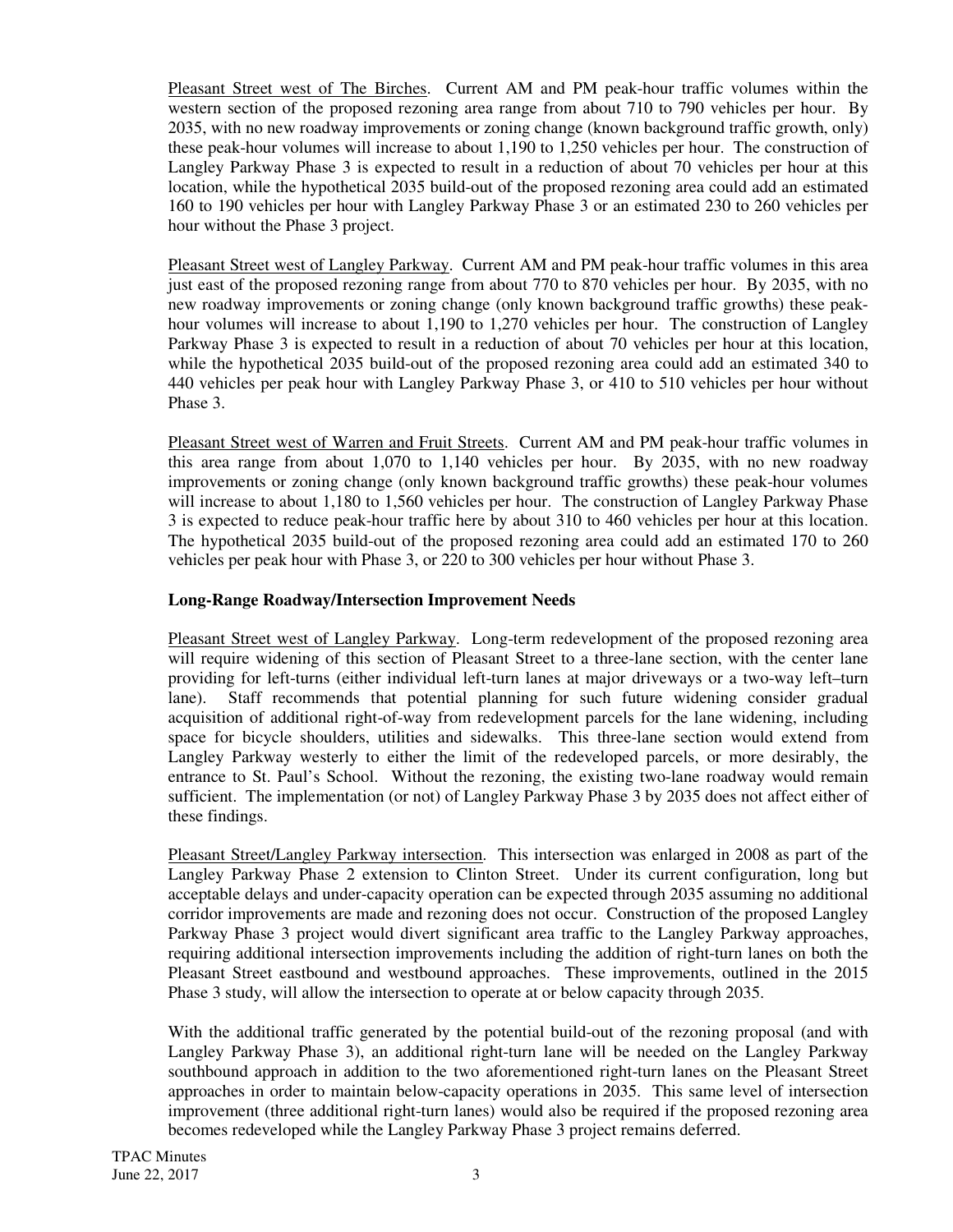Pleasant Street west of The Birches. Current AM and PM peak-hour traffic volumes within the western section of the proposed rezoning area range from about 710 to 790 vehicles per hour. By 2035, with no new roadway improvements or zoning change (known background traffic growth, only) these peak-hour volumes will increase to about 1,190 to 1,250 vehicles per hour. The construction of Langley Parkway Phase 3 is expected to result in a reduction of about 70 vehicles per hour at this location, while the hypothetical 2035 build-out of the proposed rezoning area could add an estimated 160 to 190 vehicles per hour with Langley Parkway Phase 3 or an estimated 230 to 260 vehicles per hour without the Phase 3 project.

Pleasant Street west of Langley Parkway. Current AM and PM peak-hour traffic volumes in this area just east of the proposed rezoning range from about 770 to 870 vehicles per hour. By 2035, with no new roadway improvements or zoning change (only known background traffic growths) these peakhour volumes will increase to about 1,190 to 1,270 vehicles per hour. The construction of Langley Parkway Phase 3 is expected to result in a reduction of about 70 vehicles per hour at this location, while the hypothetical 2035 build-out of the proposed rezoning area could add an estimated 340 to 440 vehicles per peak hour with Langley Parkway Phase 3, or 410 to 510 vehicles per hour without Phase 3.

Pleasant Street west of Warren and Fruit Streets. Current AM and PM peak-hour traffic volumes in this area range from about 1,070 to 1,140 vehicles per hour. By 2035, with no new roadway improvements or zoning change (only known background traffic growths) these peak-hour volumes will increase to about 1,180 to 1,560 vehicles per hour. The construction of Langley Parkway Phase 3 is expected to reduce peak-hour traffic here by about 310 to 460 vehicles per hour at this location. The hypothetical 2035 build-out of the proposed rezoning area could add an estimated 170 to 260 vehicles per peak hour with Phase 3, or 220 to 300 vehicles per hour without Phase 3.

#### **Long-Range Roadway/Intersection Improvement Needs**

Pleasant Street west of Langley Parkway. Long-term redevelopment of the proposed rezoning area will require widening of this section of Pleasant Street to a three-lane section, with the center lane providing for left-turns (either individual left-turn lanes at major driveways or a two-way left–turn lane). Staff recommends that potential planning for such future widening consider gradual acquisition of additional right-of-way from redevelopment parcels for the lane widening, including space for bicycle shoulders, utilities and sidewalks. This three-lane section would extend from Langley Parkway westerly to either the limit of the redeveloped parcels, or more desirably, the entrance to St. Paul's School. Without the rezoning, the existing two-lane roadway would remain sufficient. The implementation (or not) of Langley Parkway Phase 3 by 2035 does not affect either of these findings.

Pleasant Street/Langley Parkway intersection. This intersection was enlarged in 2008 as part of the Langley Parkway Phase 2 extension to Clinton Street. Under its current configuration, long but acceptable delays and under-capacity operation can be expected through 2035 assuming no additional corridor improvements are made and rezoning does not occur. Construction of the proposed Langley Parkway Phase 3 project would divert significant area traffic to the Langley Parkway approaches, requiring additional intersection improvements including the addition of right-turn lanes on both the Pleasant Street eastbound and westbound approaches. These improvements, outlined in the 2015 Phase 3 study, will allow the intersection to operate at or below capacity through 2035.

With the additional traffic generated by the potential build-out of the rezoning proposal (and with Langley Parkway Phase 3), an additional right-turn lane will be needed on the Langley Parkway southbound approach in addition to the two aforementioned right-turn lanes on the Pleasant Street approaches in order to maintain below-capacity operations in 2035. This same level of intersection improvement (three additional right-turn lanes) would also be required if the proposed rezoning area becomes redeveloped while the Langley Parkway Phase 3 project remains deferred.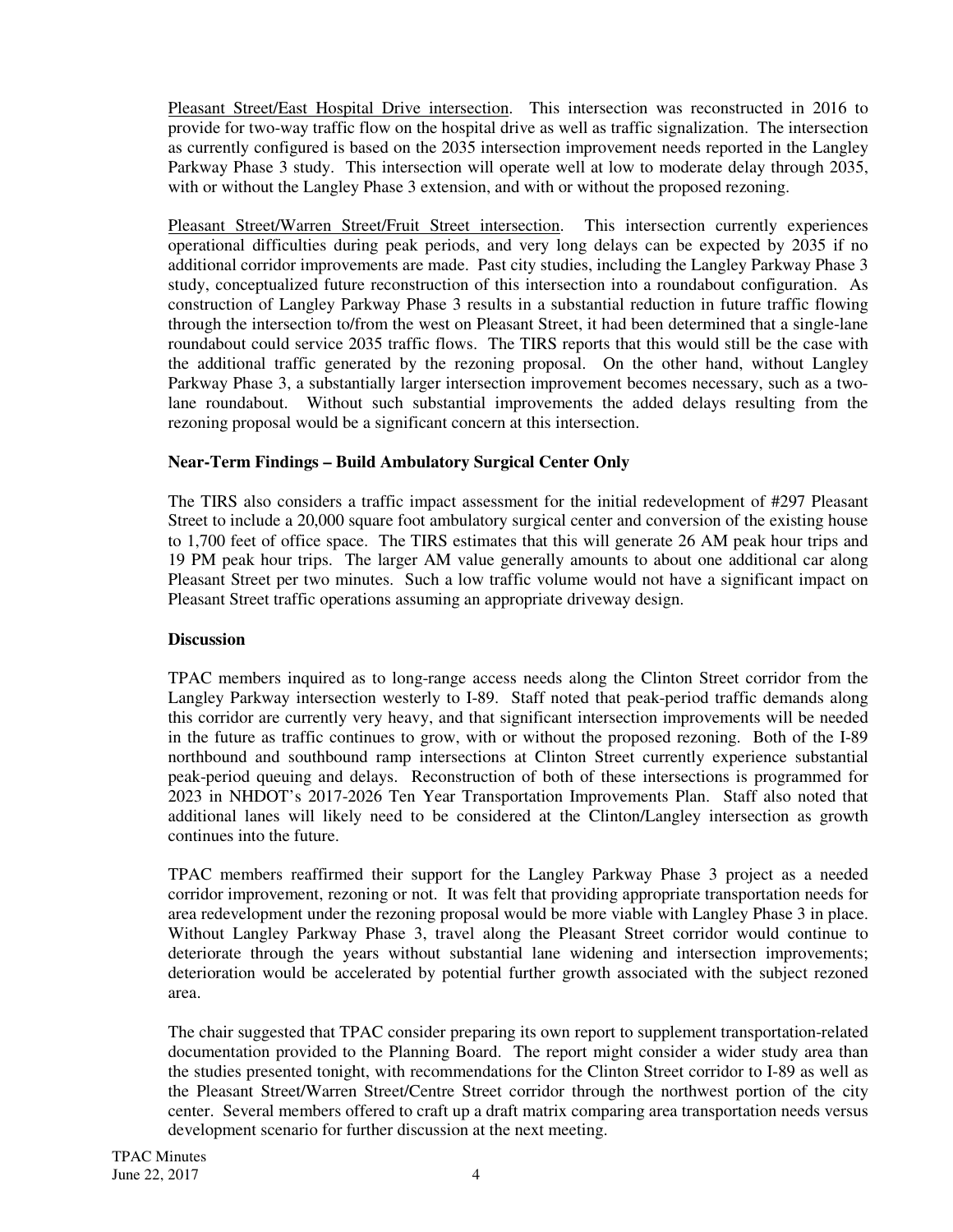Pleasant Street/East Hospital Drive intersection. This intersection was reconstructed in 2016 to provide for two-way traffic flow on the hospital drive as well as traffic signalization. The intersection as currently configured is based on the 2035 intersection improvement needs reported in the Langley Parkway Phase 3 study. This intersection will operate well at low to moderate delay through 2035, with or without the Langley Phase 3 extension, and with or without the proposed rezoning.

Pleasant Street/Warren Street/Fruit Street intersection. This intersection currently experiences operational difficulties during peak periods, and very long delays can be expected by 2035 if no additional corridor improvements are made. Past city studies, including the Langley Parkway Phase 3 study, conceptualized future reconstruction of this intersection into a roundabout configuration. As construction of Langley Parkway Phase 3 results in a substantial reduction in future traffic flowing through the intersection to/from the west on Pleasant Street, it had been determined that a single-lane roundabout could service 2035 traffic flows. The TIRS reports that this would still be the case with the additional traffic generated by the rezoning proposal. On the other hand, without Langley Parkway Phase 3, a substantially larger intersection improvement becomes necessary, such as a twolane roundabout. Without such substantial improvements the added delays resulting from the rezoning proposal would be a significant concern at this intersection.

#### **Near-Term Findings – Build Ambulatory Surgical Center Only**

The TIRS also considers a traffic impact assessment for the initial redevelopment of #297 Pleasant Street to include a 20,000 square foot ambulatory surgical center and conversion of the existing house to 1,700 feet of office space. The TIRS estimates that this will generate 26 AM peak hour trips and 19 PM peak hour trips. The larger AM value generally amounts to about one additional car along Pleasant Street per two minutes. Such a low traffic volume would not have a significant impact on Pleasant Street traffic operations assuming an appropriate driveway design.

#### **Discussion**

TPAC members inquired as to long-range access needs along the Clinton Street corridor from the Langley Parkway intersection westerly to I-89. Staff noted that peak-period traffic demands along this corridor are currently very heavy, and that significant intersection improvements will be needed in the future as traffic continues to grow, with or without the proposed rezoning. Both of the I-89 northbound and southbound ramp intersections at Clinton Street currently experience substantial peak-period queuing and delays. Reconstruction of both of these intersections is programmed for 2023 in NHDOT's 2017-2026 Ten Year Transportation Improvements Plan. Staff also noted that additional lanes will likely need to be considered at the Clinton/Langley intersection as growth continues into the future.

TPAC members reaffirmed their support for the Langley Parkway Phase 3 project as a needed corridor improvement, rezoning or not. It was felt that providing appropriate transportation needs for area redevelopment under the rezoning proposal would be more viable with Langley Phase 3 in place. Without Langley Parkway Phase 3, travel along the Pleasant Street corridor would continue to deteriorate through the years without substantial lane widening and intersection improvements; deterioration would be accelerated by potential further growth associated with the subject rezoned area.

The chair suggested that TPAC consider preparing its own report to supplement transportation-related documentation provided to the Planning Board. The report might consider a wider study area than the studies presented tonight, with recommendations for the Clinton Street corridor to I-89 as well as the Pleasant Street/Warren Street/Centre Street corridor through the northwest portion of the city center. Several members offered to craft up a draft matrix comparing area transportation needs versus development scenario for further discussion at the next meeting.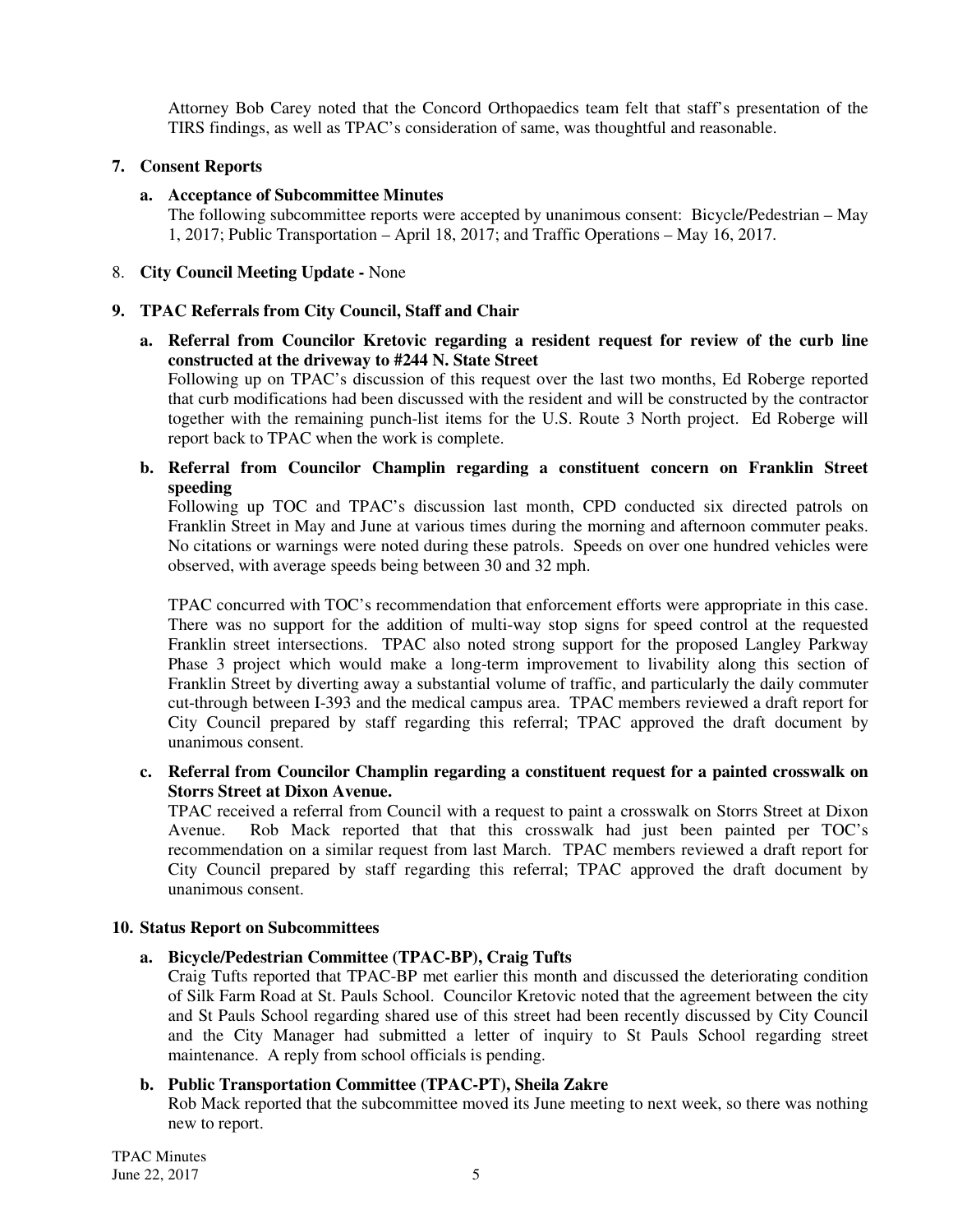Attorney Bob Carey noted that the Concord Orthopaedics team felt that staff's presentation of the TIRS findings, as well as TPAC's consideration of same, was thoughtful and reasonable.

#### **7. Consent Reports**

#### **a. Acceptance of Subcommittee Minutes**

The following subcommittee reports were accepted by unanimous consent: Bicycle/Pedestrian – May 1, 2017; Public Transportation – April 18, 2017; and Traffic Operations – May 16, 2017.

#### 8. **City Council Meeting Update -** None

#### **9. TPAC Referrals from City Council, Staff and Chair**

**a. Referral from Councilor Kretovic regarding a resident request for review of the curb line constructed at the driveway to #244 N. State Street**

Following up on TPAC's discussion of this request over the last two months, Ed Roberge reported that curb modifications had been discussed with the resident and will be constructed by the contractor together with the remaining punch-list items for the U.S. Route 3 North project. Ed Roberge will report back to TPAC when the work is complete.

**b. Referral from Councilor Champlin regarding a constituent concern on Franklin Street speeding** 

Following up TOC and TPAC's discussion last month, CPD conducted six directed patrols on Franklin Street in May and June at various times during the morning and afternoon commuter peaks. No citations or warnings were noted during these patrols. Speeds on over one hundred vehicles were observed, with average speeds being between 30 and 32 mph.

TPAC concurred with TOC's recommendation that enforcement efforts were appropriate in this case. There was no support for the addition of multi-way stop signs for speed control at the requested Franklin street intersections. TPAC also noted strong support for the proposed Langley Parkway Phase 3 project which would make a long-term improvement to livability along this section of Franklin Street by diverting away a substantial volume of traffic, and particularly the daily commuter cut-through between I-393 and the medical campus area. TPAC members reviewed a draft report for City Council prepared by staff regarding this referral; TPAC approved the draft document by unanimous consent.

**c. Referral from Councilor Champlin regarding a constituent request for a painted crosswalk on Storrs Street at Dixon Avenue.** 

TPAC received a referral from Council with a request to paint a crosswalk on Storrs Street at Dixon Avenue. Rob Mack reported that that this crosswalk had just been painted per TOC's recommendation on a similar request from last March. TPAC members reviewed a draft report for City Council prepared by staff regarding this referral; TPAC approved the draft document by unanimous consent.

#### **10. Status Report on Subcommittees**

#### **a. Bicycle/Pedestrian Committee (TPAC-BP), Craig Tufts**

Craig Tufts reported that TPAC-BP met earlier this month and discussed the deteriorating condition of Silk Farm Road at St. Pauls School. Councilor Kretovic noted that the agreement between the city and St Pauls School regarding shared use of this street had been recently discussed by City Council and the City Manager had submitted a letter of inquiry to St Pauls School regarding street maintenance. A reply from school officials is pending.

#### **b. Public Transportation Committee (TPAC-PT), Sheila Zakre**

Rob Mack reported that the subcommittee moved its June meeting to next week, so there was nothing new to report.